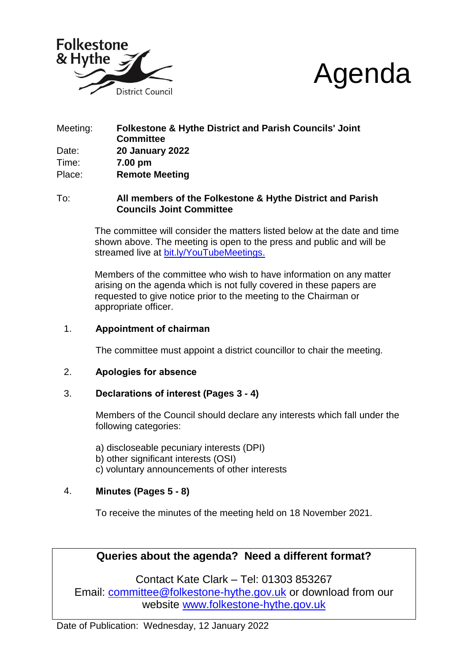



## Meeting: **Folkestone & Hythe District and Parish Councils' Joint Committee** Date: **20 January 2022** Time: **7.00 pm** Place: **Remote Meeting**

#### To: **All members of the Folkestone & Hythe District and Parish Councils Joint Committee**

The committee will consider the matters listed below at the date and time shown above. The meeting is open to the press and public and will be streamed live at [bit.ly/YouTubeMeetings.](https://bit.ly/YouTubeMeetings)

Members of the committee who wish to have information on any matter arising on the agenda which is not fully covered in these papers are requested to give notice prior to the meeting to the Chairman or appropriate officer.

## 1. **Appointment of chairman**

The committee must appoint a district councillor to chair the meeting.

#### 2. **Apologies for absence**

#### 3. **Declarations of interest (Pages 3 - 4)**

Members of the Council should declare any interests which fall under the following categories:

a) discloseable pecuniary interests (DPI)

- b) other significant interests (OSI)
- c) voluntary announcements of other interests

## 4. **Minutes (Pages 5 - 8)**

To receive the minutes of the meeting held on 18 November 2021.

# **Queries about the agenda? Need a different format?**

Contact Kate Clark – Tel: 01303 853267 Email: [committee@folkestone-hythe.gov.uk](mailto:committee@folkestone-hythe.gov.uk) or download from our website [www.folkestone-hythe.gov.uk](http://www.folkestone-hythe.gov.uk/)